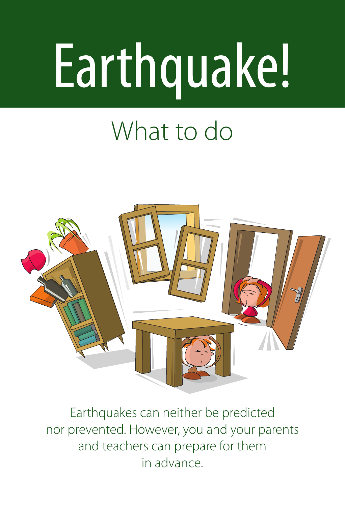# Earthquake!

# What to do



Earthquakes can neither be predicted nor prevented. However, you and your parents and teachers can prepare for them in advance.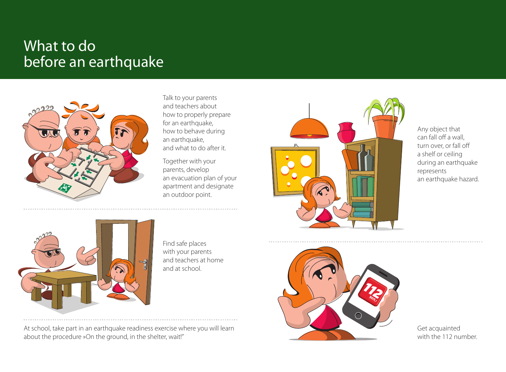## What to do before an earthquake



Talk to your parents and teachers about how to properly prepare for an earthquake, how to behave during an earthquake, and what to do after it.

Together with your parents, develop an evacuation plan of your apartment and designate an outdoor point.



Any object that can fall off a wall, turn over, or fall off a shelf or ceiling during an earthquake represents an earthquake hazard.



Find safe places with your parents and teachers at home and at school.

At school, take part in an earthquake readiness exercise where you will learn about the procedure »On the ground, in the shelter, wait!"



Get acquainted with the 112 number.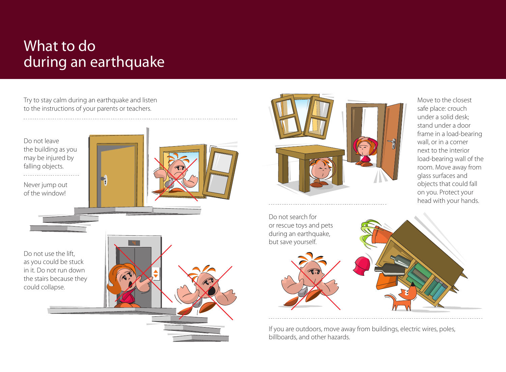## What to do during an earthquake

Try to stay calm during an earthquake and listen to the instructions of your parents or teachers.





Move to the closest safe place: crouch under a solid desk; stand under a door frame in a load-bearing wall, or in a corner next to the interior load-bearing wall of the room. Move away from glass surfaces and objects that could fall on you. Protect your head with your hands.



If you are outdoors, move away from buildings, electric wires, poles, billboards, and other hazards.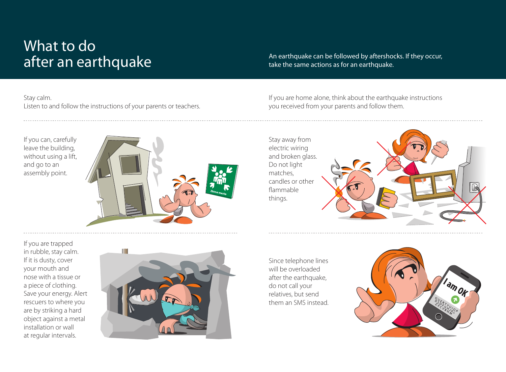## What to do after an earthquake

#### Stay calm.

Listen to and follow the instructions of your parents or teachers.

If you can, carefully leave the building, without using a lift, and go to an assembly point.



An earthquake can be followed by aftershocks. If they occur, take the same actions as for an earthquake.

If you are home alone, think about the earthquake instructions you received from your parents and follow them.



If you are trapped in rubble, stay calm. If it is dusty, cover your mouth and nose with a tissue or a piece of clothing. Save your energy. Alert rescuers to where you are by striking a hard object against a metal installation or wall at regular intervals.



Since telephone lines will be overloaded after the earthquake, do not call your relatives, but send them an SMS instead.